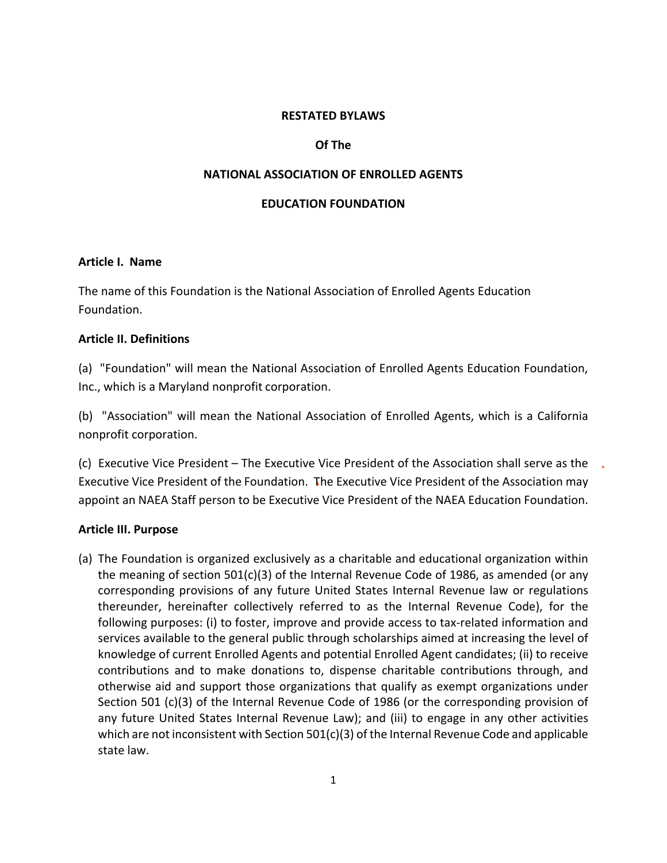#### **RESTATED BYLAWS**

### **Of The**

#### **NATIONAL ASSOCIATION OF ENROLLED AGENTS**

#### **EDUCATION FOUNDATION**

#### **Article I. Name**

The name of this Foundation is the National Association of Enrolled Agents Education Foundation.

#### **Article II. Definitions**

(a) "Foundation" will mean the National Association of Enrolled Agents Education Foundation, Inc., which is a Maryland nonprofit corporation.

(b) "Association" will mean the National Association of Enrolled Agents, which is a California nonprofit corporation.

(c) Executive Vice President – The Executive Vice President of the Association shall serve as the Executive Vice President of the Foundation. The Executive Vice President of the Association may appoint an NAEA Staff person to be Executive Vice President of the NAEA Education Foundation.

#### **Article III. Purpose**

(a) The Foundation is organized exclusively as a charitable and educational organization within the meaning of section 501(c)(3) of the Internal Revenue Code of 1986, as amended (or any corresponding provisions of any future United States Internal Revenue law or regulations thereunder, hereinafter collectively referred to as the Internal Revenue Code), for the following purposes: (i) to foster, improve and provide access to tax‐related information and services available to the general public through scholarships aimed at increasing the level of knowledge of current Enrolled Agents and potential Enrolled Agent candidates; (ii) to receive contributions and to make donations to, dispense charitable contributions through, and otherwise aid and support those organizations that qualify as exempt organizations under Section 501 (c)(3) of the Internal Revenue Code of 1986 (or the corresponding provision of any future United States Internal Revenue Law); and (iii) to engage in any other activities which are not inconsistent with Section 501(c)(3) of the Internal Revenue Code and applicable state law.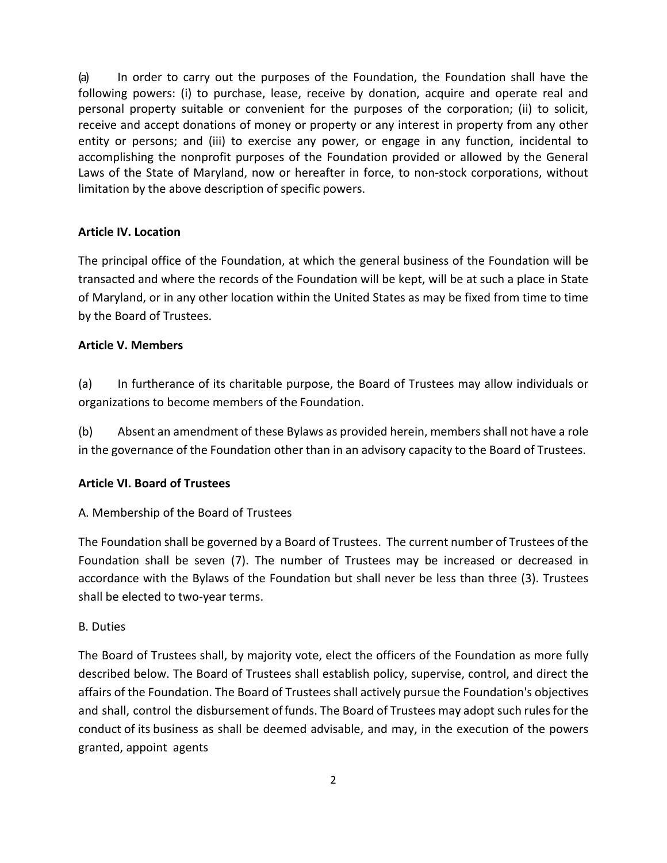(a) In order to carry out the purposes of the Foundation, the Foundation shall have the following powers: (i) to purchase, lease, receive by donation, acquire and operate real and personal property suitable or convenient for the purposes of the corporation; (ii) to solicit, receive and accept donations of money or property or any interest in property from any other entity or persons; and (iii) to exercise any power, or engage in any function, incidental to accomplishing the nonprofit purposes of the Foundation provided or allowed by the General Laws of the State of Maryland, now or hereafter in force, to non‐stock corporations, without limitation by the above description of specific powers.

### **Article IV. Location**

The principal office of the Foundation, at which the general business of the Foundation will be transacted and where the records of the Foundation will be kept, will be at such a place in State of Maryland, or in any other location within the United States as may be fixed from time to time by the Board of Trustees.

### **Article V. Members**

(a) In furtherance of its charitable purpose, the Board of Trustees may allow individuals or organizations to become members of the Foundation.

(b) Absent an amendment of these Bylaws as provided herein, membersshall not have a role in the governance of the Foundation other than in an advisory capacity to the Board of Trustees.

### **Article VI. Board of Trustees**

# A. Membership of the Board of Trustees

The Foundation shall be governed by a Board of Trustees. The current number of Trustees of the Foundation shall be seven (7). The number of Trustees may be increased or decreased in accordance with the Bylaws of the Foundation but shall never be less than three (3). Trustees shall be elected to two‐year terms.

### B. Duties

The Board of Trustees shall, by majority vote, elect the officers of the Foundation as more fully described below. The Board of Trustees shall establish policy, supervise, control, and direct the affairs of the Foundation. The Board of Trustees shall actively pursue the Foundation's objectives and shall, control the disbursement offunds. The Board of Trustees may adopt such rulesfor the conduct of its business as shall be deemed advisable, and may, in the execution of the powers granted, appoint agents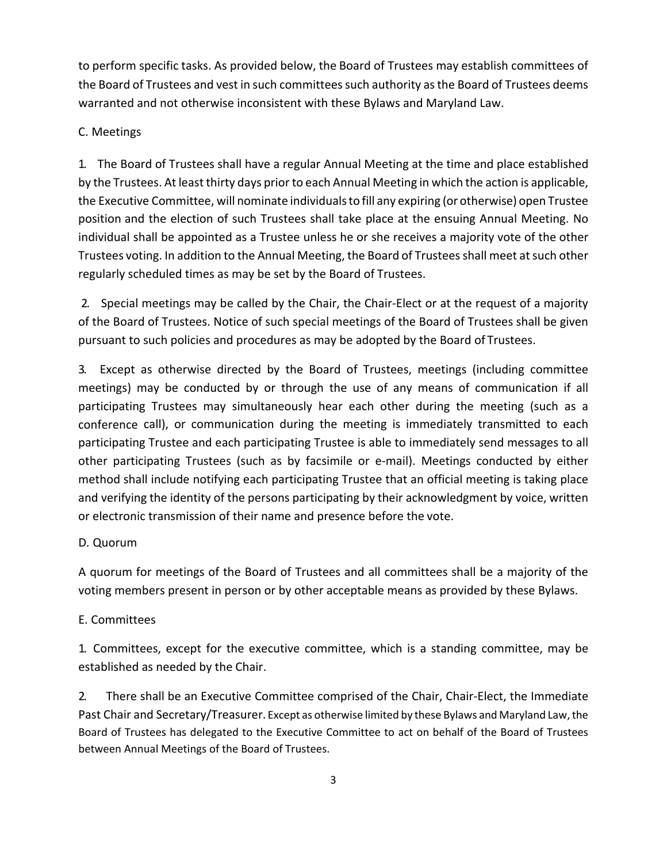to perform specific tasks. As provided below, the Board of Trustees may establish committees of the Board of Trustees and vest in such committees such authority as the Board of Trustees deems warranted and not otherwise inconsistent with these Bylaws and Maryland Law.

# C. Meetings

1. The Board of Trustees shall have a regular Annual Meeting at the time and place established by the Trustees. At least thirty days prior to each Annual Meeting in which the action is applicable, the Executive Committee, will nominate individualsto fill any expiring (or otherwise) open Trustee position and the election of such Trustees shall take place at the ensuing Annual Meeting. No individual shall be appointed as a Trustee unless he or she receives a majority vote of the other Trustees voting. In addition to the Annual Meeting, the Board of Trusteesshall meet atsuch other regularly scheduled times as may be set by the Board of Trustees.

2. Special meetings may be called by the Chair, the Chair-Elect or at the request of a majority of the Board of Trustees. Notice of such special meetings of the Board of Trustees shall be given pursuant to such policies and procedures as may be adopted by the Board of Trustees.

3. Except as otherwise directed by the Board of Trustees, meetings (including committee meetings) may be conducted by or through the use of any means of communication if all participating Trustees may simultaneously hear each other during the meeting (such as a conference call), or communication during the meeting is immediately transmitted to each participating Trustee and each participating Trustee is able to immediately send messages to all other participating Trustees (such as by facsimile or e-mail). Meetings conducted by either method shall include notifying each participating Trustee that an official meeting is taking place and verifying the identity of the persons participating by their acknowledgment by voice, written or electronic transmission of their name and presence before the vote.

# D. Quorum

A quorum for meetings of the Board of Trustees and all committees shall be a majority of the voting members present in person or by other acceptable means as provided by these Bylaws.

# E. Committees

1. Committees, except for the executive committee, which is a standing committee, may be established as needed by the Chair.

2. There shall be an Executive Committee comprised of the Chair, Chair-Elect, the Immediate Past Chair and Secretary/Treasurer. Except as otherwise limited by these Bylaws and Maryland Law,the Board of Trustees has delegated to the Executive Committee to act on behalf of the Board of Trustees between Annual Meetings of the Board of Trustees.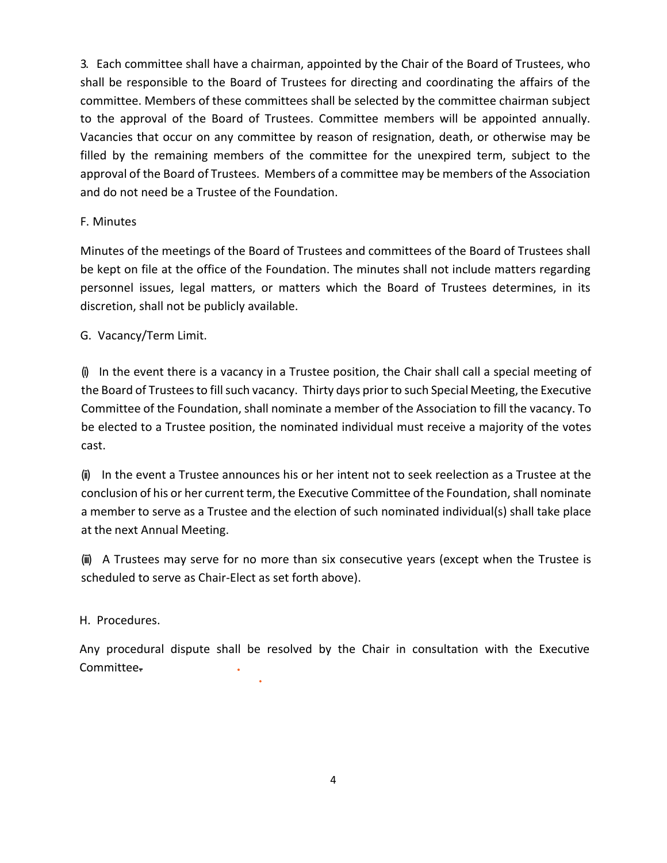3. Each committee shall have a chairman, appointed by the Chair of the Board of Trustees, who shall be responsible to the Board of Trustees for directing and coordinating the affairs of the committee. Members of these committees shall be selected by the committee chairman subject to the approval of the Board of Trustees. Committee members will be appointed annually. Vacancies that occur on any committee by reason of resignation, death, or otherwise may be filled by the remaining members of the committee for the unexpired term, subject to the approval of the Board of Trustees. Members of a committee may be members of the Association and do not need be a Trustee of the Foundation.

# F. Minutes

Minutes of the meetings of the Board of Trustees and committees of the Board of Trustees shall be kept on file at the office of the Foundation. The minutes shall not include matters regarding personnel issues, legal matters, or matters which the Board of Trustees determines, in its discretion, shall not be publicly available.

G. Vacancy/Term Limit.

(i) In the event there is a vacancy in a Trustee position, the Chair shall call a special meeting of the Board of Trusteesto fillsuch vacancy. Thirty days priorto such Special Meeting, the Executive Committee of the Foundation, shall nominate a member of the Association to fill the vacancy. To be elected to a Trustee position, the nominated individual must receive a majority of the votes cast.

(ii) In the event a Trustee announces his or her intent not to seek reelection as a Trustee at the conclusion of his or her current term, the Executive Committee of the Foundation, shall nominate a member to serve as a Trustee and the election of such nominated individual(s) shall take place at the next Annual Meeting.

(iii) A Trustees may serve for no more than six consecutive years (except when the Trustee is scheduled to serve as Chair‐Elect as set forth above).

H. Procedures.

Any procedural dispute shall be resolved by the Chair in consultation with the Executive Committee.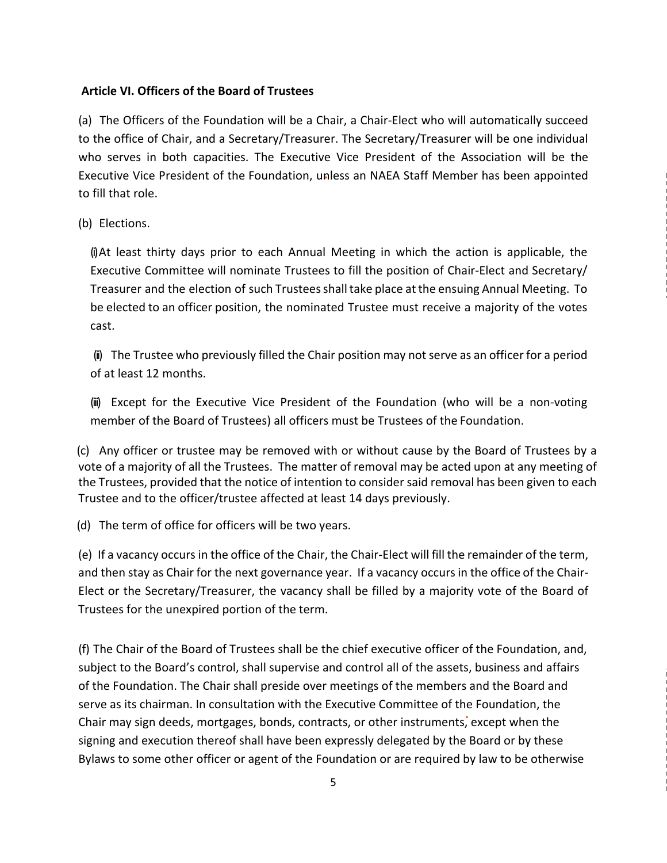#### **Article VI. Officers of the Board of Trustees**

(a) The Officers of the Foundation will be a Chair, a Chair‐Elect who will automatically succeed to the office of Chair, and a Secretary/Treasurer. The Secretary/Treasurer will be one individual who serves in both capacities. The Executive Vice President of the Association will be the Executive Vice President of the Foundation, unless an NAEA Staff Member has been appointed to fill that role.

(b) Elections.

(i)At least thirty days prior to each Annual Meeting in which the action is applicable, the Executive Committee will nominate Trustees to fill the position of Chair-Elect and Secretary/ Treasurer and the election of such Trustees shall take place at the ensuing Annual Meeting. To be elected to an officer position, the nominated Trustee must receive a majority of the votes cast.

(ii) The Trustee who previously filled the Chair position may notserve as an officer for a period of at least 12 months.

(iii) Except for the Executive Vice President of the Foundation (who will be a non‐voting member of the Board of Trustees) all officers must be Trustees of the Foundation.

(c) Any officer or trustee may be removed with or without cause by the Board of Trustees by a vote of a majority of all the Trustees. The matter of removal may be acted upon at any meeting of the Trustees, provided that the notice of intention to consider said removal has been given to each Trustee and to the officer/trustee affected at least 14 days previously.

(d) The term of office for officers will be two years.

(e) If a vacancy occurs in the office of the Chair, the Chair‐Elect will fill the remainder of the term, and then stay as Chair for the next governance year. If a vacancy occurs in the office of the Chair-Elect or the Secretary/Treasurer, the vacancy shall be filled by a majority vote of the Board of Trustees for the unexpired portion of the term.

(f) The Chair of the Board of Trustees shall be the chief executive officer of the Foundation, and, subject to the Board's control, shall supervise and control all of the assets, business and affairs of the Foundation. The Chair shall preside over meetings of the members and the Board and serve as its chairman. In consultation with the Executive Committee of the Foundation, the Chair may sign deeds, mortgages, bonds, contracts, or other instruments, except when the signing and execution thereof shall have been expressly delegated by the Board or by these Bylaws to some other officer or agent of the Foundation or are required by law to be otherwise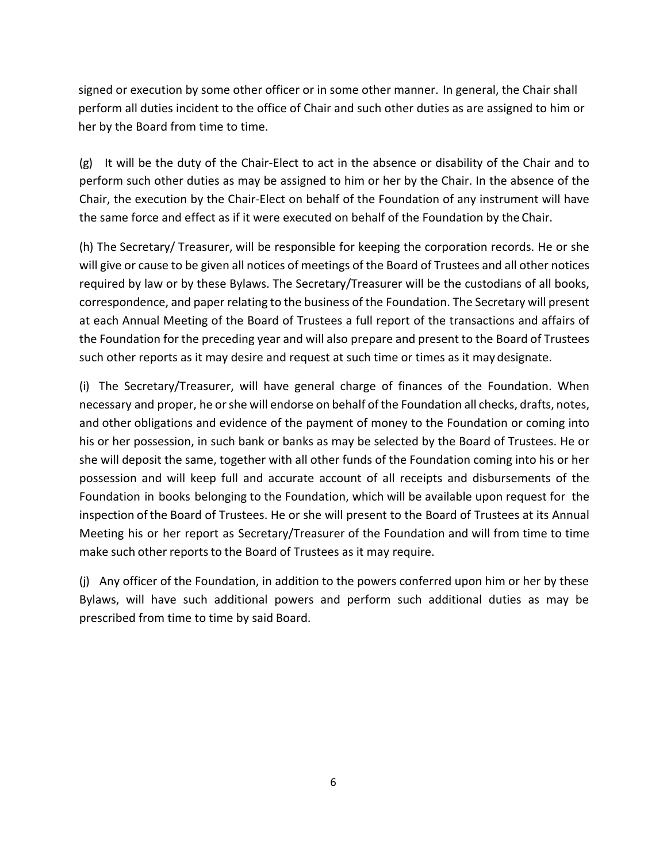signed or execution by some other officer or in some other manner. In general, the Chair shall perform all duties incident to the office of Chair and such other duties as are assigned to him or her by the Board from time to time.

(g) It will be the duty of the Chair‐Elect to act in the absence or disability of the Chair and to perform such other duties as may be assigned to him or her by the Chair. In the absence of the Chair, the execution by the Chair‐Elect on behalf of the Foundation of any instrument will have the same force and effect as if it were executed on behalf of the Foundation by the Chair.

(h) The Secretary/ Treasurer, will be responsible for keeping the corporation records. He or she will give or cause to be given all notices of meetings of the Board of Trustees and all other notices required by law or by these Bylaws. The Secretary/Treasurer will be the custodians of all books, correspondence, and paper relating to the business of the Foundation. The Secretary will present at each Annual Meeting of the Board of Trustees a full report of the transactions and affairs of the Foundation for the preceding year and will also prepare and present to the Board of Trustees such other reports as it may desire and request at such time or times as it may designate.

(i) The Secretary/Treasurer, will have general charge of finances of the Foundation. When necessary and proper, he or she will endorse on behalf of the Foundation all checks, drafts, notes, and other obligations and evidence of the payment of money to the Foundation or coming into his or her possession, in such bank or banks as may be selected by the Board of Trustees. He or she will deposit the same, together with all other funds of the Foundation coming into his or her possession and will keep full and accurate account of all receipts and disbursements of the Foundation in books belonging to the Foundation, which will be available upon request for the inspection of the Board of Trustees. He or she will present to the Board of Trustees at its Annual Meeting his or her report as Secretary/Treasurer of the Foundation and will from time to time make such other reports to the Board of Trustees as it may require.

(j) Any officer of the Foundation, in addition to the powers conferred upon him or her by these Bylaws, will have such additional powers and perform such additional duties as may be prescribed from time to time by said Board.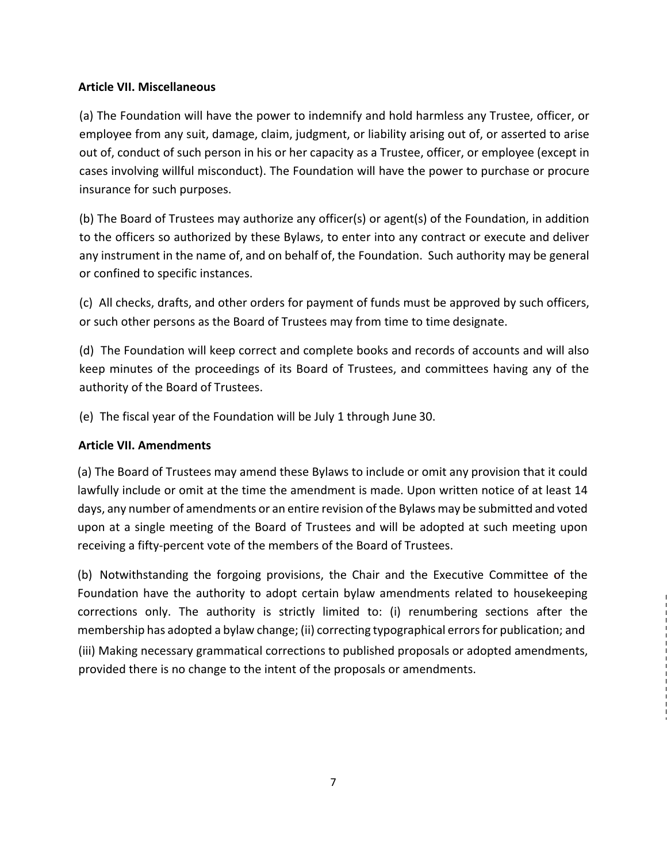### **Article VII. Miscellaneous**

(a) The Foundation will have the power to indemnify and hold harmless any Trustee, officer, or employee from any suit, damage, claim, judgment, or liability arising out of, or asserted to arise out of, conduct of such person in his or her capacity as a Trustee, officer, or employee (except in cases involving willful misconduct). The Foundation will have the power to purchase or procure insurance for such purposes.

(b) The Board of Trustees may authorize any officer(s) or agent(s) of the Foundation, in addition to the officers so authorized by these Bylaws, to enter into any contract or execute and deliver any instrument in the name of, and on behalf of, the Foundation. Such authority may be general or confined to specific instances.

(c) All checks, drafts, and other orders for payment of funds must be approved by such officers, or such other persons as the Board of Trustees may from time to time designate.

(d) The Foundation will keep correct and complete books and records of accounts and will also keep minutes of the proceedings of its Board of Trustees, and committees having any of the authority of the Board of Trustees.

(e) The fiscal year of the Foundation will be July 1 through June 30.

# **Article VII. Amendments**

(a) The Board of Trustees may amend these Bylaws to include or omit any provision that it could lawfully include or omit at the time the amendment is made. Upon written notice of at least 14 days, any number of amendments or an entire revision of the Bylaws may be submitted and voted upon at a single meeting of the Board of Trustees and will be adopted at such meeting upon receiving a fifty‐percent vote of the members of the Board of Trustees.

(b) Notwithstanding the forgoing provisions, the Chair and the Executive Committee of the Foundation have the authority to adopt certain bylaw amendments related to housekeeping corrections only. The authority is strictly limited to: (i) renumbering sections after the membership has adopted a bylaw change; (ii) correcting typographical errorsfor publication; and (iii) Making necessary grammatical corrections to published proposals or adopted amendments, provided there is no change to the intent of the proposals or amendments.